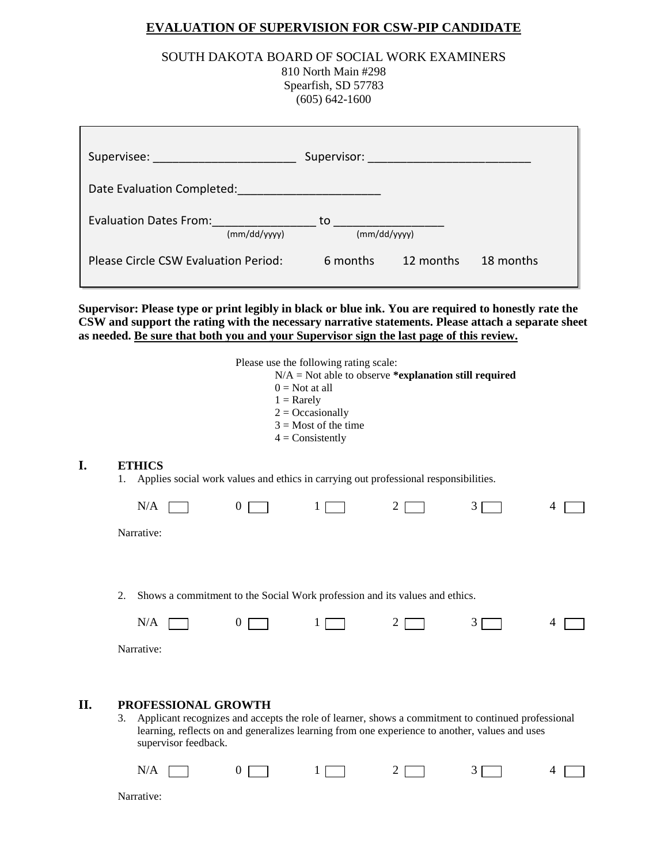## **EVALUATION OF SUPERVISION FOR CSW-PIP CANDIDATE**

## SOUTH DAKOTA BOARD OF SOCIAL WORK EXAMINERS

810 North Main #298 Spearfish, SD 57783 (605) 642-1600

| Supervisee: with the control of the control of the control of the control of the control of the control of the |                    | Supervisor: Annual Maria Maria Maria Maria Maria Maria Maria Maria Maria Maria Maria Maria Maria Maria Maria M |           |
|----------------------------------------------------------------------------------------------------------------|--------------------|----------------------------------------------------------------------------------------------------------------|-----------|
| Date Evaluation Completed:                                                                                     |                    |                                                                                                                |           |
| <b>Evaluation Dates From:</b><br>(mm/dd/yyyy)                                                                  | to<br>(mm/dd/yyyy) |                                                                                                                |           |
| Please Circle CSW Evaluation Period:                                                                           | 6 months           | 12 months                                                                                                      | 18 months |

**Supervisor: Please type or print legibly in black or blue ink. You are required to honestly rate the CSW and support the rating with the necessary narrative statements. Please attach a separate sheet as needed. Be sure that both you and your Supervisor sign the last page of this review.**

**I.** 

|     |                                                                                                                                                                                                                                                           |                | Please use the following rating scale:<br>$0 = Not$ at all<br>$1 =$ Rarely<br>$2 = Occasionally$<br>$3 =$ Most of the time<br>$4 = Consistently$ | $N/A$ = Not able to observe *explanation still required |   |   |
|-----|-----------------------------------------------------------------------------------------------------------------------------------------------------------------------------------------------------------------------------------------------------------|----------------|--------------------------------------------------------------------------------------------------------------------------------------------------|---------------------------------------------------------|---|---|
| I.  | <b>ETHICS</b><br>Applies social work values and ethics in carrying out professional responsibilities.<br>1.                                                                                                                                               |                |                                                                                                                                                  |                                                         |   |   |
|     | N/A                                                                                                                                                                                                                                                       | $\overline{0}$ | 1                                                                                                                                                | $\overline{2}$                                          | 3 | 4 |
|     | Narrative:                                                                                                                                                                                                                                                |                |                                                                                                                                                  |                                                         |   |   |
|     |                                                                                                                                                                                                                                                           |                |                                                                                                                                                  |                                                         |   |   |
|     | 2.<br>Shows a commitment to the Social Work profession and its values and ethics.                                                                                                                                                                         |                |                                                                                                                                                  |                                                         |   |   |
|     | N/A                                                                                                                                                                                                                                                       | $\overline{0}$ | 1                                                                                                                                                | $\overline{2}$                                          | 3 | 4 |
|     | Narrative:                                                                                                                                                                                                                                                |                |                                                                                                                                                  |                                                         |   |   |
|     |                                                                                                                                                                                                                                                           |                |                                                                                                                                                  |                                                         |   |   |
| II. | PROFESSIONAL GROWTH<br>Applicant recognizes and accepts the role of learner, shows a commitment to continued professional<br>3.<br>learning, reflects on and generalizes learning from one experience to another, values and uses<br>supervisor feedback. |                |                                                                                                                                                  |                                                         |   |   |
|     | N/A                                                                                                                                                                                                                                                       | $\theta$       |                                                                                                                                                  | 2                                                       | 3 | 4 |
|     | Narrative:                                                                                                                                                                                                                                                |                |                                                                                                                                                  |                                                         |   |   |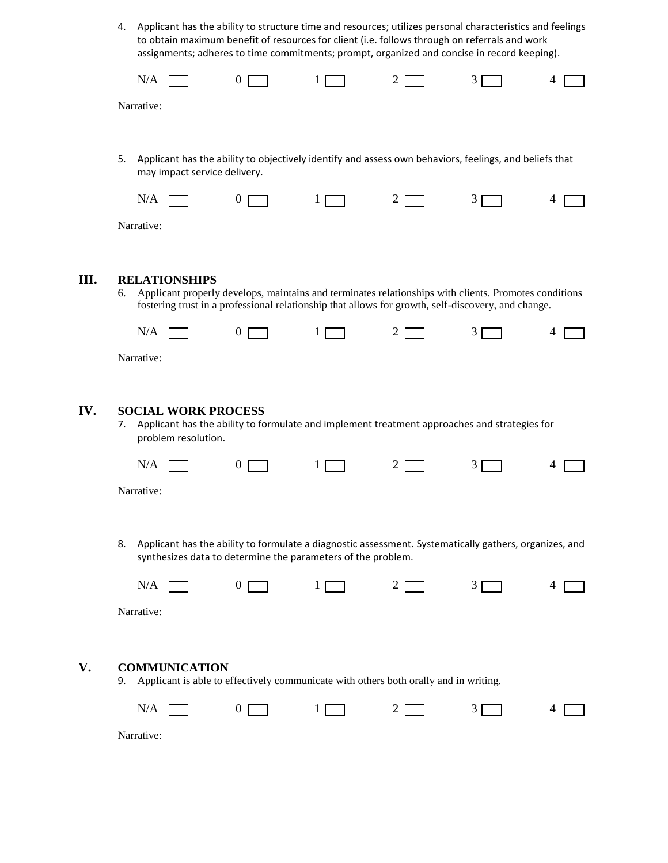4. Applicant has the ability to structure time and resources; utilizes personal characteristics and feelings to obtain maximum benefit of resources for client (i.e. follows through on referrals and work assignments; adheres to time commitments; prompt, organized and concise in record keeping).

|      |    | N/A                                                                                                                                                                                                                                 | $\overline{0}$   | 1            | 2              | 3 | 4 |
|------|----|-------------------------------------------------------------------------------------------------------------------------------------------------------------------------------------------------------------------------------------|------------------|--------------|----------------|---|---|
|      |    | Narrative:                                                                                                                                                                                                                          |                  |              |                |   |   |
|      |    |                                                                                                                                                                                                                                     |                  |              |                |   |   |
|      | 5. | Applicant has the ability to objectively identify and assess own behaviors, feelings, and beliefs that<br>may impact service delivery.                                                                                              |                  |              |                |   |   |
|      |    | N/A                                                                                                                                                                                                                                 | $\overline{0}$   | 1            | $\overline{2}$ | 3 | 4 |
|      |    | Narrative:                                                                                                                                                                                                                          |                  |              |                |   |   |
|      |    |                                                                                                                                                                                                                                     |                  |              |                |   |   |
| III. | 6. | <b>RELATIONSHIPS</b><br>Applicant properly develops, maintains and terminates relationships with clients. Promotes conditions<br>fostering trust in a professional relationship that allows for growth, self-discovery, and change. |                  |              |                |   |   |
|      |    | N/A                                                                                                                                                                                                                                 | $\overline{0}$   | $\mathbf{1}$ | 2              | 3 | 4 |
|      |    | Narrative:                                                                                                                                                                                                                          |                  |              |                |   |   |
|      |    |                                                                                                                                                                                                                                     |                  |              |                |   |   |
| IV.  | 7. | <b>SOCIAL WORK PROCESS</b><br>Applicant has the ability to formulate and implement treatment approaches and strategies for<br>problem resolution.                                                                                   |                  |              |                |   |   |
|      |    | N/A                                                                                                                                                                                                                                 | $\boldsymbol{0}$ | $\bf{l}$     | $\overline{2}$ | 3 | 4 |
|      |    | Narrative:                                                                                                                                                                                                                          |                  |              |                |   |   |
|      |    |                                                                                                                                                                                                                                     |                  |              |                |   |   |
|      | 8. | Applicant has the ability to formulate a diagnostic assessment. Systematically gathers, organizes, and<br>synthesizes data to determine the parameters of the problem.                                                              |                  |              |                |   |   |
|      |    | N/A                                                                                                                                                                                                                                 | $\boldsymbol{0}$ | 1            | 2              | 3 | 4 |
|      |    | Narrative:                                                                                                                                                                                                                          |                  |              |                |   |   |
|      |    |                                                                                                                                                                                                                                     |                  |              |                |   |   |
| V.   | 9. | <b>COMMUNICATION</b><br>Applicant is able to effectively communicate with others both orally and in writing.                                                                                                                        |                  |              |                |   |   |
|      |    | N/A                                                                                                                                                                                                                                 | $\boldsymbol{0}$ | 1            | 2              | 3 | 4 |
|      |    | Narrative:                                                                                                                                                                                                                          |                  |              |                |   |   |
|      |    |                                                                                                                                                                                                                                     |                  |              |                |   |   |

**III.** 

IV.